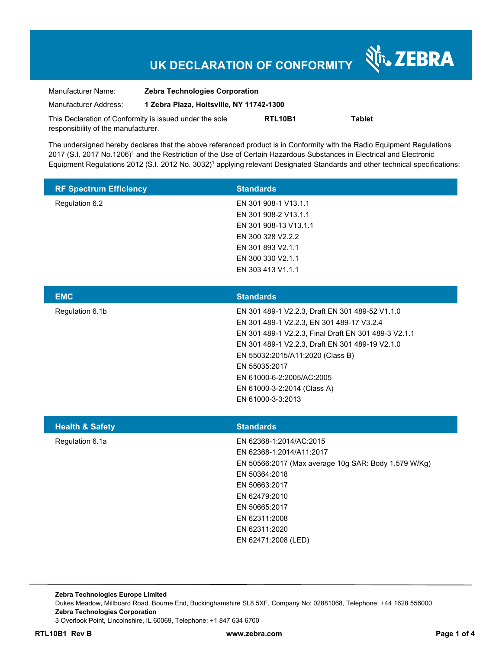# **UK DECLARATION OF CONFORMITY**

Nr. ZEBRA

| Manufacturer Name:                                      | <b>Zebra Technologies Corporation</b>    |         |               |  |
|---------------------------------------------------------|------------------------------------------|---------|---------------|--|
| Manufacturer Address:                                   | 1 Zebra Plaza, Holtsville, NY 11742-1300 |         |               |  |
| This Declaration of Conformity is issued under the sole |                                          | RTL10B1 | <b>Tablet</b> |  |
| responsibility of the manufacturer.                     |                                          |         |               |  |

The undersigned hereby declares that the above referenced product is in Conformity with the Radio Equipment Regulations 2017 (S.I. 2017 No.1206)<sup>1</sup> and the Restriction of the Use of Certain Hazardous Substances in Electrical and Electronic Equipment Regulations 2012 (S.I. 2012 No. 3032)<sup>1</sup> applying relevant Designated Standards and other technical specifications:

| <b>RF Spectrum Efficiency</b> | <b>Standards</b>                                                                                                                                                                                                                                                                                                                              |
|-------------------------------|-----------------------------------------------------------------------------------------------------------------------------------------------------------------------------------------------------------------------------------------------------------------------------------------------------------------------------------------------|
| Regulation 6.2                | EN 301 908-1 V13.1.1<br>EN 301 908-2 V13.1.1<br>EN 301 908-13 V13.1.1<br>EN 300 328 V2.2.2<br>EN 301 893 V2.1.1<br>EN 300 330 V2.1.1<br>EN 303 413 V1.1.1                                                                                                                                                                                     |
| <b>EMC</b>                    | <b>Standards</b>                                                                                                                                                                                                                                                                                                                              |
| Regulation 6.1b               | EN 301 489-1 V2.2.3, Draft EN 301 489-52 V1.1.0<br>EN 301 489-1 V2.2.3, EN 301 489-17 V3.2.4<br>EN 301 489-1 V2.2.3, Final Draft EN 301 489-3 V2.1.1<br>EN 301 489-1 V2.2.3, Draft EN 301 489-19 V2.1.0<br>EN 55032:2015/A11:2020 (Class B)<br>EN 55035:2017<br>EN 61000-6-2:2005/AC:2005<br>EN 61000-3-2:2014 (Class A)<br>EN 61000-3-3:2013 |
| <b>Health &amp; Safety</b>    | <b>Standards</b>                                                                                                                                                                                                                                                                                                                              |
| Regulation 6.1a               | EN 62368-1:2014/AC:2015<br>EN 62368-1:2014/A11:2017<br>EN 50566:2017 (Max average 10g SAR: Body 1.579 W/Kg)<br>EN 50364:2018<br>EN 50663:2017<br>EN 62479:2010<br>EN 50665:2017<br>EN 62311:2008<br>EN 62311:2020<br>EN 62471:2008 (LED)                                                                                                      |

**Zebra Technologies Europe Limited**  Dukes Meadow, Millboard Road, Bourne End, Buckinghamshire SL8 5XF, Company No: 02881068, Telephone: +44 1628 556000 **Zebra Technologies Corporation**  3 Overlook Point, Lincolnshire, IL 60069, Telephone: +1 847 634 6700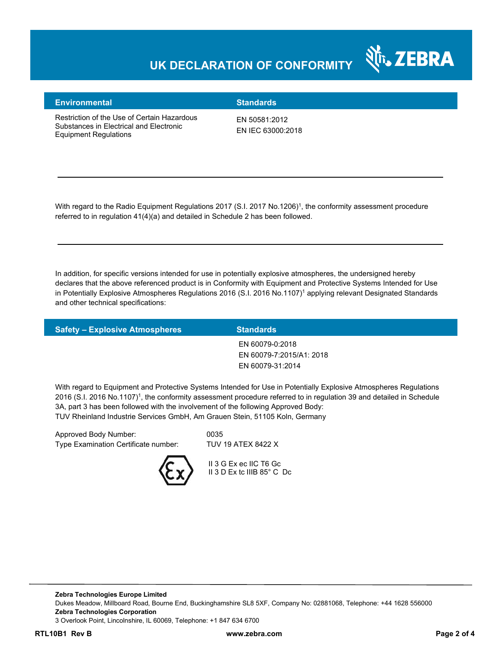### **UK DECLARATION OF CONFORMITY**



#### **Environmental Standards**

Restriction of the Use of Certain Hazardous Substances in Electrical and Electronic Equipment Regulations

EN 50581:2012 EN IEC 63000:2018

With regard to the Radio Equipment Regulations 2017 (S.I. 2017 No.1206)<sup>1</sup>, the conformity assessment procedure referred to in regulation 41(4)(a) and detailed in Schedule 2 has been followed.

In addition, for specific versions intended for use in potentially explosive atmospheres, the undersigned hereby declares that the above referenced product is in Conformity with Equipment and Protective Systems Intended for Use in Potentially Explosive Atmospheres Regulations 2016 (S.I. 2016 No.1107)<sup>1</sup> applying relevant Designated Standards and other technical specifications:

| <b>Safety - Explosive Atmospheres</b> | <b>Standards</b>         |
|---------------------------------------|--------------------------|
|                                       | EN 60079-0:2018          |
|                                       | EN 60079-7:2015/A1: 2018 |
|                                       | EN 60079-31:2014         |
|                                       |                          |

With regard to Equipment and Protective Systems Intended for Use in Potentially Explosive Atmospheres Regulations 2016 (S.I. 2016 No.1107)<sup>1</sup>, the conformity assessment procedure referred to in regulation 39 and detailed in Schedule 3A, part 3 has been followed with the involvement of the following Approved Body: TUV Rheinland Industrie Services GmbH, Am Grauen Stein, 51105 Koln, Germany

Approved Body Number: 0035 Type Examination Certificate number: TUV 19 ATEX 8422 X



 II 3 G Ex ec IIC T6 Gc II 3 D Ex tc IIIB 85° C Dc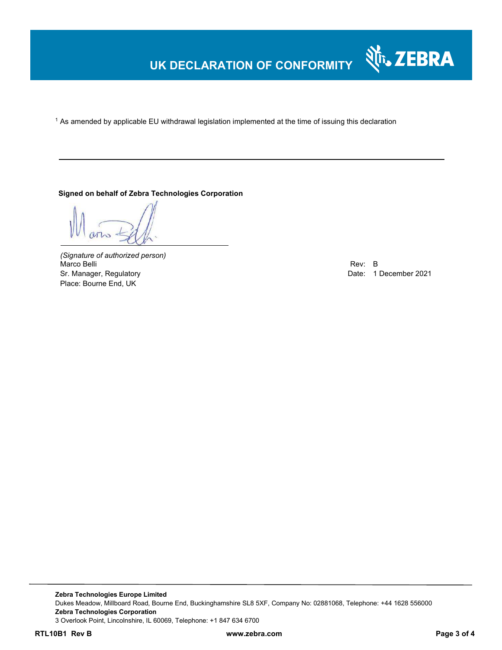### **UK DECLARATION OF CONFORMITY**

 $^{\rm 1}$  As amended by applicable EU withdrawal legislation implemented at the time of issuing this declaration

#### **Signed on behalf of Zebra Technologies Corporation**

*(Signature of authorized person)* Marco Belli Rev: B مستقادة المستقادة المستقدمة المستقدمة المستقدمة المستقدمة المستقدمة المستقدمة المستقدمة المستقدمة Sr. Manager, Regulatory **Date: 1 December 2021** Place: Bourne End, UK

Nr. ZEBRA

**Zebra Technologies Europe Limited**  Dukes Meadow, Millboard Road, Bourne End, Buckinghamshire SL8 5XF, Company No: 02881068, Telephone: +44 1628 556000 **Zebra Technologies Corporation**  3 Overlook Point, Lincolnshire, IL 60069, Telephone: +1 847 634 6700